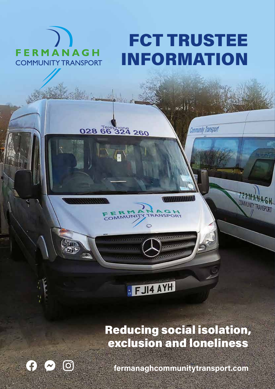# FERMANAGH **COMMUNITY TRANSPORT**

# FCT TRUSTEE INFORMATION

Community Transport

TERMANA

COMMUNITY TRANSPORT

# & FJI4 AYH

028 66 324 260

OMMUT

### Reducing social isolation, exclusion and loneliness



fermanaghcommunitytransport.com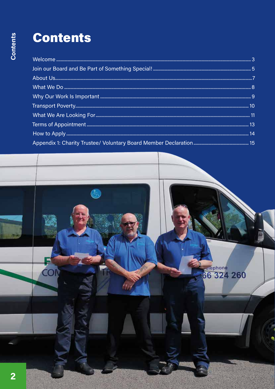## Contents

**Contents** 

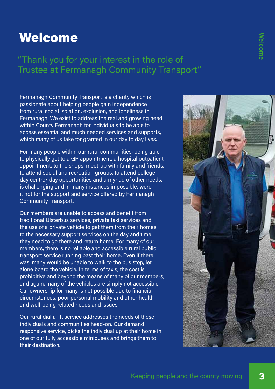### Welcome

#### "Thank you for your interest in the role of Trustee at Fermanagh Community Transport"

Fermanagh Community Transport is a charity which is passionate about helping people gain independence from rural social isolation, exclusion, and loneliness in Fermanagh. We exist to address the real and growing need within County Fermanagh for individuals to be able to access essential and much needed services and supports, which many of us take for granted in our day to day lives.

For many people within our rural communities, being able to physically get to a GP appointment, a hospital outpatient appointment, to the shops, meet-up with family and friends, to attend social and recreation groups, to attend college, day centre/ day opportunities and a myriad of other needs, is challenging and in many instances impossible, were it not for the support and service offered by Fermanagh Community Transport.

Our members are unable to access and benefit from traditional Ulsterbus services, private taxi services and the use of a private vehicle to get them from their homes to the necessary support services on the day and time they need to go there and return home. For many of our members, there is no reliable and accessible rural public transport service running past their home. Even if there was, many would be unable to walk to the bus stop, let alone board the vehicle. In terms of taxis, the cost is prohibitive and beyond the means of many of our members, and again, many of the vehicles are simply not accessible. Car ownership for many is not possible due to financial circumstances, poor personal mobility and other health and well-being related needs and issues.

Our rural dial a lift service addresses the needs of these individuals and communities head-on. Our demand responsive service, picks the individual up at their home in one of our fully accessible minibuses and brings them to their destination.

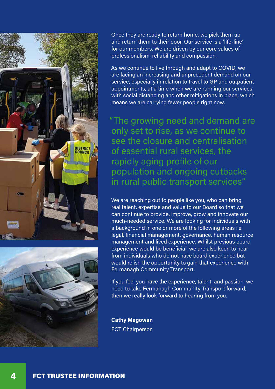



Once they are ready to return home, we pick them up and return them to their door. Our service is a 'life-line' for our members. We are driven by our core values of professionalism, reliability and compassion.

As we continue to live through and adapt to COVID, we are facing an increasing and unprecedent demand on our service, especially in relation to travel to GP and outpatient appointments, at a time when we are running our services with social distancing and other mitigations in place, which means we are carrying fewer people right now.

"The growing need and demand are only set to rise, as we continue to see the closure and centralisation of essential rural services, the rapidly aging profile of our population and ongoing cutbacks in rural public transport services"

We are reaching out to people like you, who can bring real talent, expertise and value to our Board so that we can continue to provide, improve, grow and innovate our much-needed service. We are looking for individuals with a background in one or more of the following areas i.e legal, financial management, governance, human resource management and lived experience. Whilst previous board experience would be beneficial, we are also keen to hear from individuals who do not have board experience but would relish the opportunity to gain that experience with Fermanagh Community Transport.

If you feel you have the experience, talent, and passion, we need to take Fermanagh Community Transport forward, then we really look forward to hearing from you.

Cathy Magowan FCT Chairperson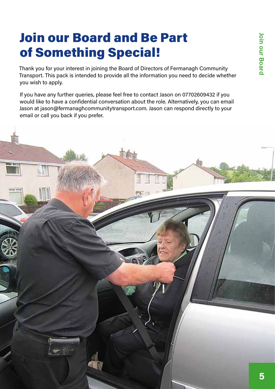## Join our Board and Be Part of Something Special!

Thank you for your interest in joining the Board of Directors of Fermanagh Community Transport. This pack is intended to provide all the information you need to decide whether you wish to apply.

If you have any further queries, please feel free to contact Jason on 07702609432 if you would like to have a confidential conversation about the role. Alternatively, you can email Jason at jason@fermanaghcommunitytransport.com. Jason can respond directly to your email or call you back if you prefer.

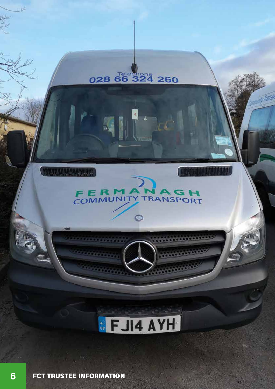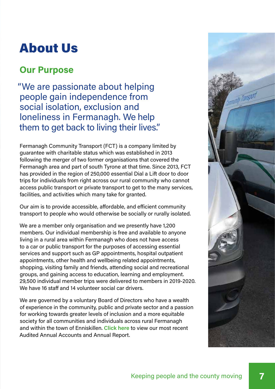## About Us

### Our Purpose

"We are passionate about helping people gain independence from social isolation, exclusion and loneliness in Fermanagh. We help them to get back to living their lives."

Fermanagh Community Transport (FCT) is a company limited by guarantee with charitable status which was established in 2013 following the merger of two former organisations that covered the Fermanagh area and part of south Tyrone at that time. Since 2013, FCT has provided in the region of 250,000 essential Dial a Lift door to door trips for individuals from right across our rural community who cannot access public transport or private transport to get to the many services, facilities, and activities which many take for granted.

Our aim is to provide accessible, affordable, and efficient community transport to people who would otherwise be socially or rurally isolated.

We are a member only organisation and we presently have 1,200 members. Our individual membership is free and available to anyone living in a rural area within Fermanagh who does not have access to a car or public transport for the purposes of accessing essential services and support such as GP appointments, hospital outpatient appointments, other health and wellbeing related appointments, shopping, visiting family and friends, attending social and recreational groups, and gaining access to education, learning and employment. 29,500 individual member trips were delivered to members in 2019-2020. We have 16 staff and 14 volunteer social car drivers.

We are governed by a voluntary Board of Directors who have a wealth of experience in the community, public and private sector and a passion for working towards greater levels of inclusion and a more equitable society for all communities and individuals across rural Fermanagh and within the town of Enniskillen. Click here to view our most recent Audited Annual Accounts and Annual Report.

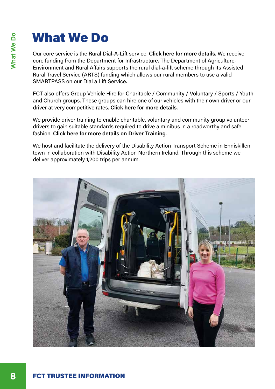## What We Do

Our core service is the Rural Dial-A-Lift service. Click here for more details. We receive core funding from the Department for Infrastructure. The Department of Agriculture, Environment and Rural Affairs supports the rural dial-a-lift scheme through its Assisted Rural Travel Service (ARTS) funding which allows our rural members to use a valid SMARTPASS on our Dial a Lift Service.

FCT also offers Group Vehicle Hire for Charitable / Community / Voluntary / Sports / Youth and Church groups. These groups can hire one of our vehicles with their own driver or our driver at very competitive rates. Click here for more details.

We provide driver training to enable charitable, voluntary and community group volunteer drivers to gain suitable standards required to drive a minibus in a roadworthy and safe fashion. Click here for more details on Driver Training.

We host and facilitate the delivery of the Disability Action Transport Scheme in Enniskillen town in collaboration with Disability Action Northern Ireland. Through this scheme we deliver approximately 1,200 trips per annum.

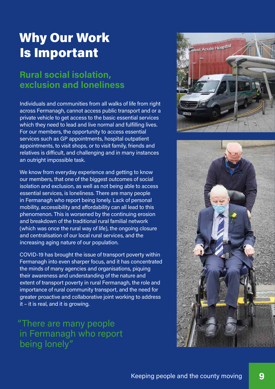## Why Our Work Is Important

### Rural social isolation, exclusion and loneliness

Individuals and communities from all walks of life from right across Fermanagh, cannot access public transport and or a private vehicle to get access to the basic essential services which they need to lead and live normal and fulfilling lives. For our members, the opportunity to access essential services such as GP appointments, hospital outpatient appointments, to visit shops, or to visit family, friends and relatives is difficult, and challenging and in many instances an outright impossible task.

We know from everyday experience and getting to know our members, that one of the biggest outcomes of social isolation and exclusion, as well as not being able to access essential services, is loneliness. There are many people in Fermanagh who report being lonely. Lack of personal mobility, accessibility and affordability can all lead to this phenomenon. This is worsened by the continuing erosion and breakdown of the traditional rural familial network (which was once the rural way of life), the ongoing closure and centralisation of our local rural services, and the increasing aging nature of our population.

COVID-19 has brought the issue of transport poverty within Fermanagh into even sharper focus, and it has concentrated the minds of many agencies and organisations, piquing their awareness and understanding of the nature and extent of transport poverty in rural Fermanagh, the role and importance of rural community transport, and the need for greater proactive and collaborative joint working to address it – it is real, and it is growing.

"There are many people in Fermanagh who report being lonely"



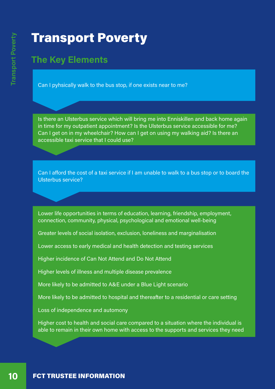## Transport Poverty

### The Key Elements

Can I pyhsically walk to the bus stop, if one exists near to me?

Is there an Ulsterbus service which will bring me into Enniskillen and back home again in time for my outpatient appointment? Is the Ulsterbus service accessible for me? Can I get on in my wheelchair? How can I get on using my walking aid? Is there an accessible taxi service that I could use?

Can I afford the cost of a taxi service if I am unable to walk to a bus stop or to board the Ulsterbus service?

Lower life opportunities in terms of education, learning, friendship, employment, connection, community, physical, psychological and emotional well-being

Greater levels of social isolation, exclusion, loneliness and marginalisation

Lower access to early medical and health detection and testing services

Higher incidence of Can Not Attend and Do Not Attend

Higher levels of illness and multiple disease prevalence

More likely to be admitted to A&E under a Blue Light scenario

More likely to be admitted to hospital and thereafter to a residential or care setting

Loss of independence and automony

Higher cost to health and social care compared to a situation where the individual is able to remain in their own home with access to the supports and services they need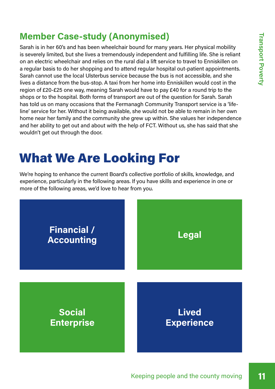### Member Case-study (Anonymised)

Sarah is in her 60's and has been wheelchair bound for many years. Her physical mobility is severely limited, but she lives a tremendously independent and fulfilling life. She is reliant on an electric wheelchair and relies on the rural dial a lift service to travel to Enniskillen on a regular basis to do her shopping and to attend regular hospital out-patient appointments. Sarah cannot use the local Ulsterbus service because the bus is not accessible, and she lives a distance from the bus-stop. A taxi from her home into Enniskillen would cost in the region of £20-£25 one way, meaning Sarah would have to pay £40 for a round trip to the shops or to the hospital. Both forms of transport are out of the question for Sarah. Sarah has told us on many occasions that the Fermanagh Community Transport service is a 'lifeline' service for her. Without it being available, she would not be able to remain in her own home near her family and the community she grew up within. She values her independence and her ability to get out and about with the help of FCT. Without us, she has said that she wouldn't get out through the door.

## What We Are Looking For

We're hoping to enhance the current Board's collective portfolio of skills, knowledge, and experience, particularly in the following areas. If you have skills and experience in one or more of the following areas, we'd love to hear from you.

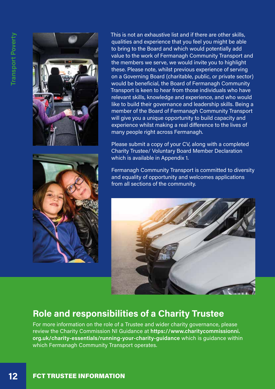

This is not an exhaustive list and if there are other skills, qualities and experience that you feel you might be able to bring to the Board and which would potentially add value to the work of Fermanagh Community Transport and the members we serve, we would invite you to highlight these. Please note, whilst previous experience of serving on a Governing Board (charitable, public, or private sector) would be beneficial, the Board of Fermanagh Community Transport is keen to hear from those individuals who have relevant skills, knowledge and experience, and who would like to build their governance and leadership skills. Being a member of the Board of Fermanagh Community Transport will give you a unique opportunity to build capacity and experience whilst making a real difference to the lives of many people right across Fermanagh.

Please submit a copy of your CV, along with a completed Charity Trustee/ Voluntary Board Member Declaration which is available in Appendix 1.

Fermanagh Community Transport is committed to diversity and equality of opportunity and welcomes applications from all sections of the community.



#### Role and responsibilities of a Charity Trustee

For more information on the role of a Trustee and wider charity governance, please review the Charity Commission NI Guidance at https://www.charitycommissionni. org.uk/charity-essentials/running-your-charity-guidance which is guidance within which Fermanagh Community Transport operates.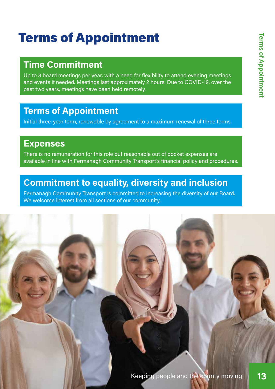## Terms of Appointment

### Time Commitment

Up to 8 board meetings per year, with a need for flexibility to attend evening meetings and events if needed. Meetings last approximately 2 hours. Due to COVID-19, over the past two years, meetings have been held remotely.

### Terms of Appointment

Initial three-year term, renewable by agreement to a maximum renewal of three terms.

#### Expenses

There is no remuneration for this role but reasonable out of pocket expenses are available in line with Fermanagh Community Transport's financial policy and procedures.

### Commitment to equality, diversity and inclusion

Fermanagh Community Transport is committed to increasing the diversity of our Board. We welcome interest from all sections of our community.

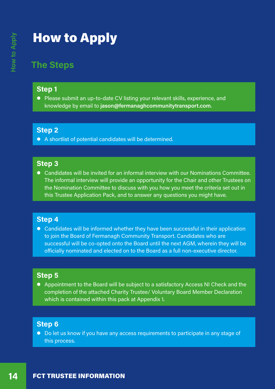## How to Apply

### The Steps

#### Step 1

• Please submit an up-to-date CV listing your relevant skills, experience, and knowledge by email to jason@fermanaghcommunitytransport.com.

#### Step 2

● A shortlist of potential candidates will be determined.

#### Step 3

• Candidates will be invited for an informal interview with our Nominations Committee. The informal interview will provide an opportunity for the Chair and other Trustees on the Nomination Committee to discuss with you how you meet the criteria set out in this Trustee Application Pack, and to answer any questions you might have.

#### Step 4

• Candidates will be informed whether they have been successful in their application to join the Board of Fermanagh Community Transport. Candidates who are successful will be co-opted onto the Board until the next AGM, wherein they will be officially nominated and elected on to the Board as a full non-executive director.

#### Step 5

• Appointment to the Board will be subject to a satisfactory Access NI Check and the completion of the attached Charity Trustee/ Voluntary Board Member Declaration which is contained within this pack at Appendix 1.

#### Step 6

• Do let us know if you have any access requirements to participate in any stage of this process.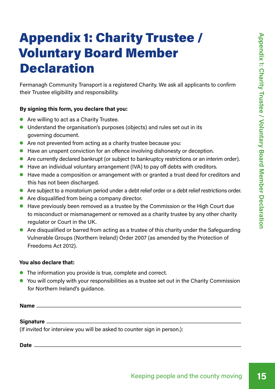15

## Appendix 1: Charity Trustee / Voluntary Board Member Declaration

Fermanagh Community Transport is a registered Charity. We ask all applicants to confirm their Trustee eligibility and responsibility.

#### By signing this form, you declare that you:

- Are willing to act as a Charity Trustee.
- Understand the organisation's purposes (objects) and rules set out in its governing document.
- $\bullet$  Are not prevented from acting as a charity trustee because you:
- Have an unspent conviction for an offence involving dishonesty or deception.
- **•** Are currently declared bankrupt (or subject to bankruptcy restrictions or an interim order).
- Have an individual voluntary arrangement (IVA) to pay off debts with creditors.
- Have made a composition or arrangement with or granted a trust deed for creditors and this has not been discharged.
- **•** Are subject to a moratorium period under a debt relief order or a debt relief restrictions order.
- $\bullet$  Are disqualified from being a company director.
- Have previously been removed as a trustee by the Commission or the High Court due to misconduct or mismanagement or removed as a charity trustee by any other charity regulator or Court in the UK.
- Are disqualified or barred from acting as a trustee of this charity under the Safeguarding Vulnerable Groups (Northern Ireland) Order 2007 (as amended by the Protection of Freedoms Act 2012).

#### You also declare that:

- $\bullet$  The information you provide is true, complete and correct.
- You will comply with your responsibilities as a trustee set out in the Charity Commission for Northern Ireland's guidance.

Name .......................................................................................................................................................................................

Signature .............................................................................................................................................................................. (If invited for interview you will be asked to counter sign in person.):

Date .........................................................................................................................................................................................